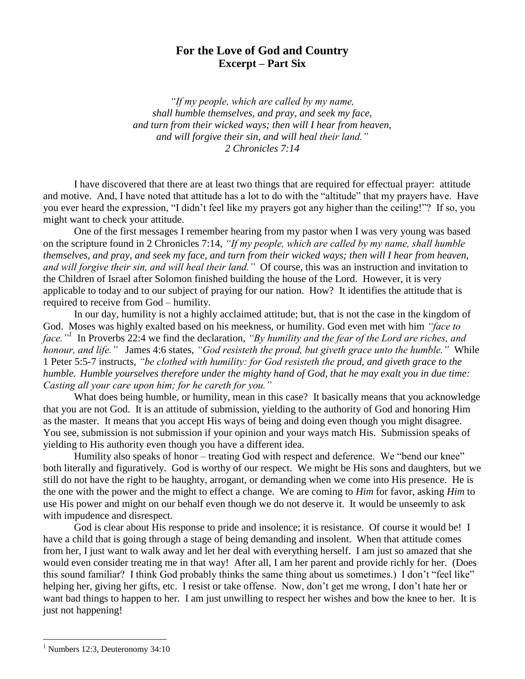## **For the Love of God and Country Excerpt – Part Six**

*"If my people, which are called by my name, shall humble themselves, and pray, and seek my face, and turn from their wicked ways; then will I hear from heaven, and will forgive their sin, and will heal their land." 2 Chronicles 7:14*

I have discovered that there are at least two things that are required for effectual prayer: attitude and motive. And, I have noted that attitude has a lot to do with the "altitude" that my prayers have. Have you ever heard the expression, "I didn't feel like my prayers got any higher than the ceiling!"? If so, you might want to check your attitude.

One of the first messages I remember hearing from my pastor when I was very young was based on the scripture found in 2 Chronicles 7:14, *"If my people, which are called by my name, shall humble themselves, and pray, and seek my face, and turn from their wicked ways; then will I hear from heaven, and will forgive their sin, and will heal their land."* Of course, this was an instruction and invitation to the Children of Israel after Solomon finished building the house of the Lord. However, it is very applicable to today and to our subject of praying for our nation. How? It identifies the attitude that is required to receive from God – humility.

In our day, humility is not a highly acclaimed attitude; but, that is not the case in the kingdom of God. Moses was highly exalted based on his meekness, or humility. God even met with him *"face to face."<sup>1</sup>* In Proverbs 22:4 we find the declaration, *"By humility and the fear of the Lord are riches, and honour, and life."* James 4:6 states, *"God resisteth the proud, but giveth grace unto the humble."* While 1 Peter 5:5-7 instructs, *"be clothed with humility: for God resisteth the proud, and giveth grace to the humble. Humble yourselves therefore under the mighty hand of God, that he may exalt you in due time: Casting all your care upon him; for he careth for you."*

What does being humble, or humility, mean in this case? It basically means that you acknowledge that you are not God. It is an attitude of submission, yielding to the authority of God and honoring Him as the master. It means that you accept His ways of being and doing even though you might disagree. You see, submission is not submission if your opinion and your ways match His. Submission speaks of yielding to His authority even though you have a different idea.

Humility also speaks of honor – treating God with respect and deference. We "bend our knee" both literally and figuratively. God is worthy of our respect. We might be His sons and daughters, but we still do not have the right to be haughty, arrogant, or demanding when we come into His presence. He is the one with the power and the might to effect a change. We are coming to *Him* for favor, asking *Him* to use His power and might on our behalf even though we do not deserve it. It would be unseemly to ask with impudence and disrespect.

God is clear about His response to pride and insolence; it is resistance. Of course it would be! I have a child that is going through a stage of being demanding and insolent. When that attitude comes from her, I just want to walk away and let her deal with everything herself. I am just so amazed that she would even consider treating me in that way! After all, I am her parent and provide richly for her. (Does this sound familiar? I think God probably thinks the same thing about us sometimes.) I don't "feel like" helping her, giving her gifts, etc. I resist or take offense. Now, don't get me wrong, I don't hate her or want bad things to happen to her. I am just unwilling to respect her wishes and bow the knee to her. It is just not happening!

 $\overline{a}$ 

<sup>&</sup>lt;sup>1</sup> Numbers 12:3, Deuteronomy 34:10